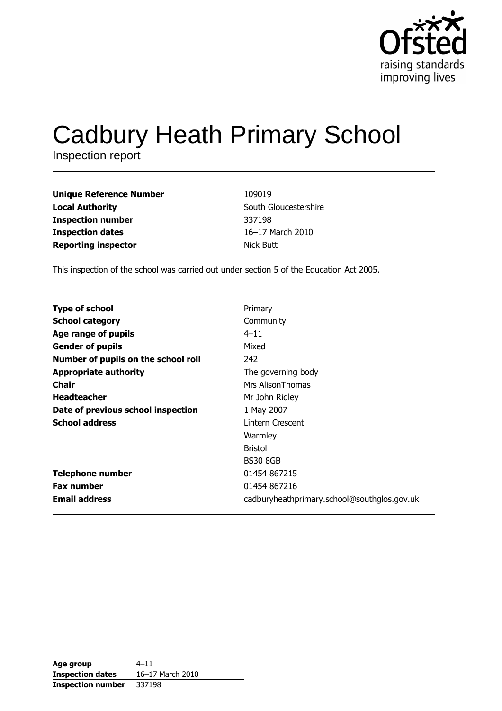

# **Cadbury Heath Primary School**

| <b>Unique Reference Number</b> | 109019                |
|--------------------------------|-----------------------|
| <b>Local Authority</b>         | South Gloucestershire |
| <b>Inspection number</b>       | 337198                |
| <b>Inspection dates</b>        | 16-17 March 2010      |
| <b>Reporting inspector</b>     | Nick Butt             |

This inspection of the school was carried out under section 5 of the Education Act 2005.

| <b>Type of school</b>               | Primary                                     |
|-------------------------------------|---------------------------------------------|
| <b>School category</b>              | Community                                   |
| Age range of pupils                 | $4 - 11$                                    |
| <b>Gender of pupils</b>             | Mixed                                       |
| Number of pupils on the school roll | 242                                         |
| <b>Appropriate authority</b>        | The governing body                          |
| <b>Chair</b>                        | Mrs Alison Thomas                           |
| <b>Headteacher</b>                  | Mr John Ridley                              |
| Date of previous school inspection  | 1 May 2007                                  |
| <b>School address</b>               | Lintern Crescent                            |
|                                     | Warmley                                     |
|                                     | <b>Bristol</b>                              |
|                                     | <b>BS30 8GB</b>                             |
| <b>Telephone number</b>             | 01454 867215                                |
| <b>Fax number</b>                   | 01454 867216                                |
| <b>Email address</b>                | cadburyheathprimary.school@southglos.gov.uk |

| Age group                | $4 - 11$         |
|--------------------------|------------------|
| <b>Inspection dates</b>  | 16-17 March 2010 |
| <b>Inspection number</b> | 337198           |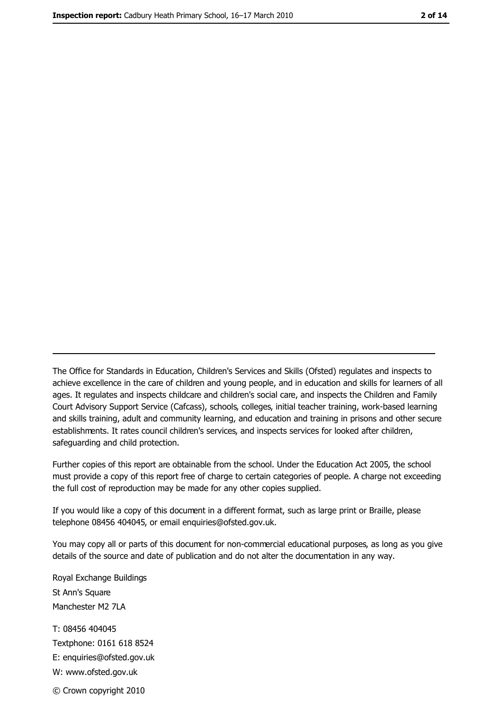The Office for Standards in Education, Children's Services and Skills (Ofsted) regulates and inspects to achieve excellence in the care of children and young people, and in education and skills for learners of all ages. It regulates and inspects childcare and children's social care, and inspects the Children and Family Court Advisory Support Service (Cafcass), schools, colleges, initial teacher training, work-based learning and skills training, adult and community learning, and education and training in prisons and other secure establishments. It rates council children's services, and inspects services for looked after children, safequarding and child protection.

Further copies of this report are obtainable from the school. Under the Education Act 2005, the school must provide a copy of this report free of charge to certain categories of people. A charge not exceeding the full cost of reproduction may be made for any other copies supplied.

If you would like a copy of this document in a different format, such as large print or Braille, please telephone 08456 404045, or email enquiries@ofsted.gov.uk.

You may copy all or parts of this document for non-commercial educational purposes, as long as you give details of the source and date of publication and do not alter the documentation in any way.

Royal Exchange Buildings St Ann's Square Manchester M2 7LA T: 08456 404045 Textphone: 0161 618 8524 E: enquiries@ofsted.gov.uk W: www.ofsted.gov.uk © Crown copyright 2010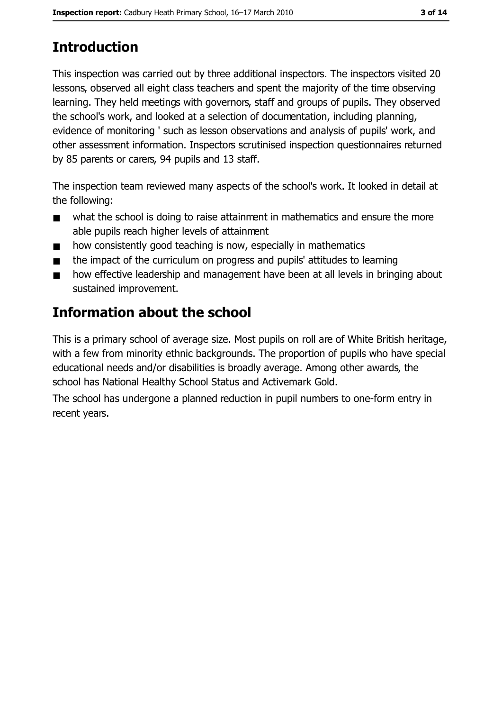# **Introduction**

This inspection was carried out by three additional inspectors. The inspectors visited 20 lessons, observed all eight class teachers and spent the majority of the time observing learning. They held meetings with governors, staff and groups of pupils. They observed the school's work, and looked at a selection of documentation, including planning, evidence of monitoring ' such as lesson observations and analysis of pupils' work, and other assessment information. Inspectors scrutinised inspection questionnaires returned by 85 parents or carers, 94 pupils and 13 staff.

The inspection team reviewed many aspects of the school's work. It looked in detail at the following:

- what the school is doing to raise attainment in mathematics and ensure the more  $\blacksquare$ able pupils reach higher levels of attainment
- how consistently good teaching is now, especially in mathematics
- the impact of the curriculum on progress and pupils' attitudes to learning  $\blacksquare$
- how effective leadership and management have been at all levels in bringing about  $\blacksquare$ sustained improvement.

# Information about the school

This is a primary school of average size. Most pupils on roll are of White British heritage, with a few from minority ethnic backgrounds. The proportion of pupils who have special educational needs and/or disabilities is broadly average. Among other awards, the school has National Healthy School Status and Activemark Gold.

The school has undergone a planned reduction in pupil numbers to one-form entry in recent years.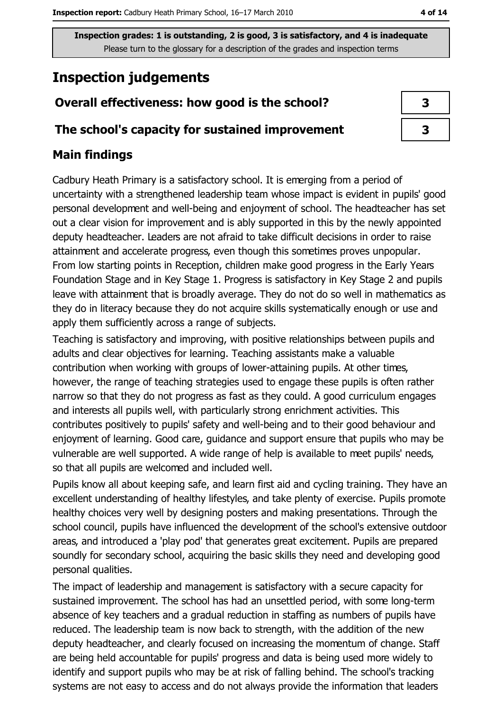# **Inspection judgements**

## Overall effectiveness: how good is the school?

## The school's capacity for sustained improvement

## **Main findings**

Cadbury Heath Primary is a satisfactory school. It is emerging from a period of uncertainty with a strengthened leadership team whose impact is evident in pupils' good personal development and well-being and enjoyment of school. The headteacher has set out a clear vision for improvement and is ably supported in this by the newly appointed deputy headteacher. Leaders are not afraid to take difficult decisions in order to raise attainment and accelerate progress, even though this sometimes proves unpopular. From low starting points in Reception, children make good progress in the Early Years Foundation Stage and in Key Stage 1. Progress is satisfactory in Key Stage 2 and pupils leave with attainment that is broadly average. They do not do so well in mathematics as they do in literacy because they do not acquire skills systematically enough or use and apply them sufficiently across a range of subjects.

Teaching is satisfactory and improving, with positive relationships between pupils and adults and clear objectives for learning. Teaching assistants make a valuable contribution when working with groups of lower-attaining pupils. At other times, however, the range of teaching strategies used to engage these pupils is often rather narrow so that they do not progress as fast as they could. A good curriculum engages and interests all pupils well, with particularly strong enrichment activities. This contributes positively to pupils' safety and well-being and to their good behaviour and enjoyment of learning. Good care, guidance and support ensure that pupils who may be vulnerable are well supported. A wide range of help is available to meet pupils' needs, so that all pupils are welcomed and included well.

Pupils know all about keeping safe, and learn first aid and cycling training. They have an excellent understanding of healthy lifestyles, and take plenty of exercise. Pupils promote healthy choices very well by designing posters and making presentations. Through the school council, pupils have influenced the development of the school's extensive outdoor areas, and introduced a 'play pod' that generates great excitement. Pupils are prepared soundly for secondary school, acquiring the basic skills they need and developing good personal qualities.

The impact of leadership and management is satisfactory with a secure capacity for sustained improvement. The school has had an unsettled period, with some long-term absence of key teachers and a gradual reduction in staffing as numbers of pupils have reduced. The leadership team is now back to strength, with the addition of the new deputy headteacher, and clearly focused on increasing the momentum of change. Staff are being held accountable for pupils' progress and data is being used more widely to identify and support pupils who may be at risk of falling behind. The school's tracking systems are not easy to access and do not always provide the information that leaders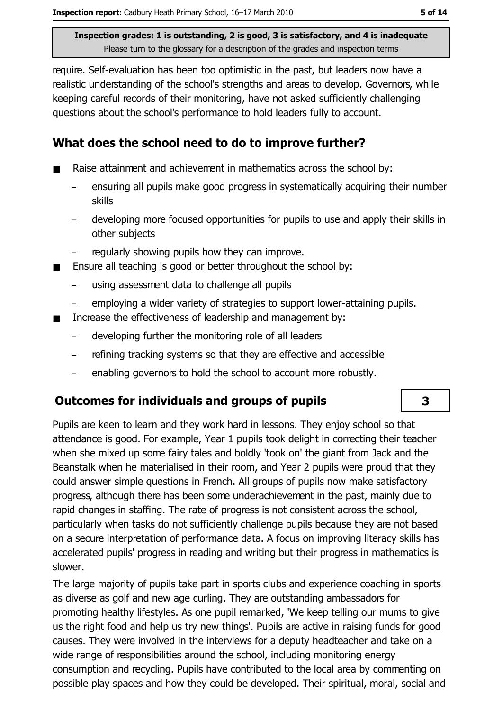require. Self-evaluation has been too optimistic in the past, but leaders now have a realistic understanding of the school's strengths and areas to develop. Governors, while keeping careful records of their monitoring, have not asked sufficiently challenging questions about the school's performance to hold leaders fully to account.

## What does the school need to do to improve further?

- Raise attainment and achievement in mathematics across the school by:  $\blacksquare$ 
	- ensuring all pupils make good progress in systematically acquiring their number skills
	- developing more focused opportunities for pupils to use and apply their skills in other subjects
	- regularly showing pupils how they can improve.
- Ensure all teaching is good or better throughout the school by:
	- using assessment data to challenge all pupils
	- employing a wider variety of strategies to support lower-attaining pupils.
- Increase the effectiveness of leadership and management by:  $\blacksquare$ 
	- developing further the monitoring role of all leaders  $\overline{\phantom{0}}$
	- refining tracking systems so that they are effective and accessible
	- enabling governors to hold the school to account more robustly.

## Outcomes for individuals and groups of pupils

Pupils are keen to learn and they work hard in lessons. They enjoy school so that attendance is good. For example, Year 1 pupils took delight in correcting their teacher when she mixed up some fairy tales and boldly 'took on' the giant from Jack and the Beanstalk when he materialised in their room, and Year 2 pupils were proud that they could answer simple questions in French. All groups of pupils now make satisfactory progress, although there has been some underachievement in the past, mainly due to rapid changes in staffing. The rate of progress is not consistent across the school, particularly when tasks do not sufficiently challenge pupils because they are not based on a secure interpretation of performance data. A focus on improving literacy skills has accelerated pupils' progress in reading and writing but their progress in mathematics is slower.

The large majority of pupils take part in sports clubs and experience coaching in sports as diverse as golf and new age curling. They are outstanding ambassadors for promoting healthy lifestyles. As one pupil remarked, 'We keep telling our mums to give us the right food and help us try new things'. Pupils are active in raising funds for good causes. They were involved in the interviews for a deputy headteacher and take on a wide range of responsibilities around the school, including monitoring energy consumption and recycling. Pupils have contributed to the local area by commenting on possible play spaces and how they could be developed. Their spiritual, moral, social and

## $\overline{\mathbf{3}}$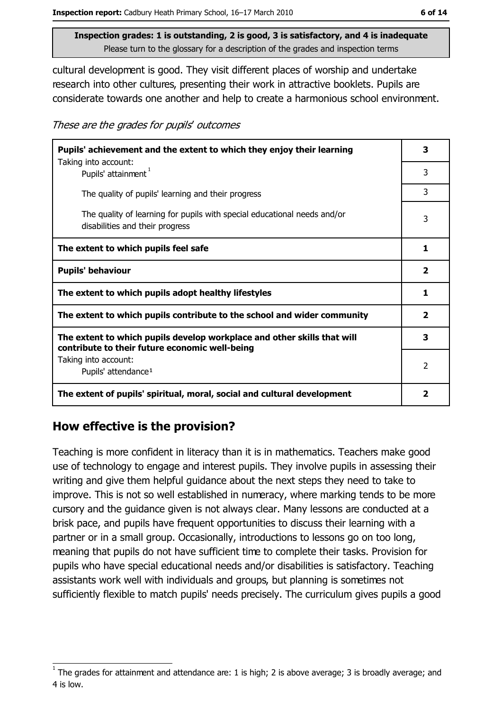cultural development is good. They visit different places of worship and undertake research into other cultures, presenting their work in attractive booklets. Pupils are considerate towards one another and help to create a harmonious school environment.

These are the grades for pupils' outcomes

| Pupils' achievement and the extent to which they enjoy their learning                                                     |   |
|---------------------------------------------------------------------------------------------------------------------------|---|
| Taking into account:<br>Pupils' attainment <sup>1</sup>                                                                   | 3 |
| The quality of pupils' learning and their progress                                                                        | 3 |
| The quality of learning for pupils with special educational needs and/or<br>disabilities and their progress               | 3 |
| The extent to which pupils feel safe                                                                                      |   |
| <b>Pupils' behaviour</b>                                                                                                  |   |
| The extent to which pupils adopt healthy lifestyles                                                                       |   |
| The extent to which pupils contribute to the school and wider community                                                   |   |
| The extent to which pupils develop workplace and other skills that will<br>contribute to their future economic well-being |   |
| Taking into account:                                                                                                      | 2 |
| Pupils' attendance <sup>1</sup>                                                                                           |   |
| The extent of pupils' spiritual, moral, social and cultural development                                                   |   |

## How effective is the provision?

Teaching is more confident in literacy than it is in mathematics. Teachers make good use of technology to engage and interest pupils. They involve pupils in assessing their writing and give them helpful guidance about the next steps they need to take to improve. This is not so well established in numeracy, where marking tends to be more cursory and the quidance given is not always clear. Many lessons are conducted at a brisk pace, and pupils have frequent opportunities to discuss their learning with a partner or in a small group. Occasionally, introductions to lessons go on too long, meaning that pupils do not have sufficient time to complete their tasks. Provision for pupils who have special educational needs and/or disabilities is satisfactory. Teaching assistants work well with individuals and groups, but planning is sometimes not sufficiently flexible to match pupils' needs precisely. The curriculum gives pupils a good

The grades for attainment and attendance are: 1 is high; 2 is above average; 3 is broadly average; and 4 is low.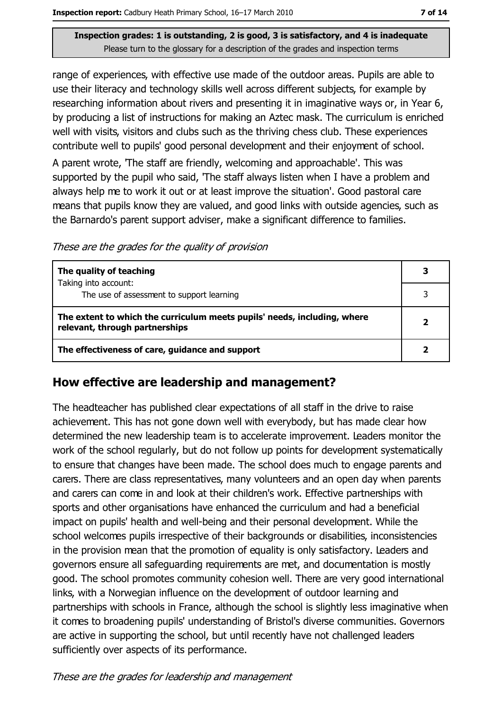range of experiences, with effective use made of the outdoor areas. Pupils are able to use their literacy and technology skills well across different subjects, for example by researching information about rivers and presenting it in imaginative ways or, in Year 6, by producing a list of instructions for making an Aztec mask. The curriculum is enriched well with visits, visitors and clubs such as the thriving chess club. These experiences contribute well to pupils' good personal development and their enjoyment of school. A parent wrote, 'The staff are friendly, welcoming and approachable'. This was supported by the pupil who said, 'The staff always listen when I have a problem and always help me to work it out or at least improve the situation'. Good pastoral care means that pupils know they are valued, and good links with outside agencies, such as the Barnardo's parent support adviser, make a significant difference to families.

These are the grades for the quality of provision

| The quality of teaching                                                                                    |  |
|------------------------------------------------------------------------------------------------------------|--|
| Taking into account:<br>The use of assessment to support learning                                          |  |
| The extent to which the curriculum meets pupils' needs, including, where<br>relevant, through partnerships |  |
| The effectiveness of care, guidance and support                                                            |  |

## How effective are leadership and management?

The headteacher has published clear expectations of all staff in the drive to raise achievement. This has not gone down well with everybody, but has made clear how determined the new leadership team is to accelerate improvement. Leaders monitor the work of the school regularly, but do not follow up points for development systematically to ensure that changes have been made. The school does much to engage parents and carers. There are class representatives, many volunteers and an open day when parents and carers can come in and look at their children's work. Effective partnerships with sports and other organisations have enhanced the curriculum and had a beneficial impact on pupils' health and well-being and their personal development. While the school welcomes pupils irrespective of their backgrounds or disabilities, inconsistencies in the provision mean that the promotion of equality is only satisfactory. Leaders and governors ensure all safeguarding requirements are met, and documentation is mostly good. The school promotes community cohesion well. There are very good international links, with a Norwegian influence on the development of outdoor learning and partnerships with schools in France, although the school is slightly less imaginative when it comes to broadening pupils' understanding of Bristol's diverse communities. Governors are active in supporting the school, but until recently have not challenged leaders sufficiently over aspects of its performance.

These are the grades for leadership and management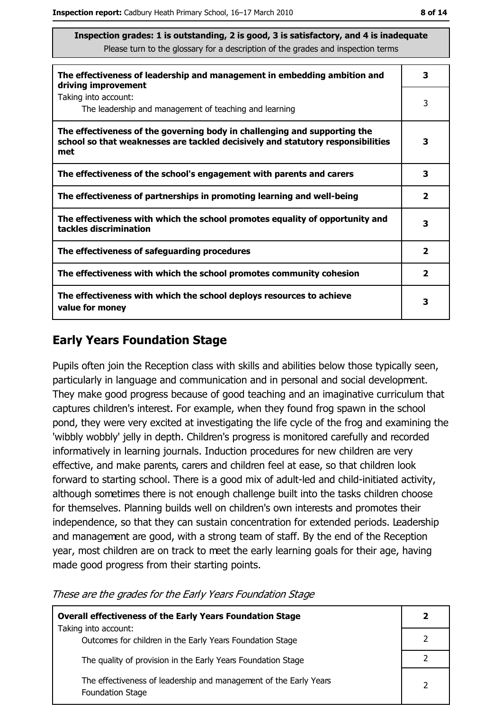| The effectiveness of leadership and management in embedding ambition and<br>driving improvement                                                                     |                         |
|---------------------------------------------------------------------------------------------------------------------------------------------------------------------|-------------------------|
| Taking into account:<br>The leadership and management of teaching and learning                                                                                      | 3                       |
| The effectiveness of the governing body in challenging and supporting the<br>school so that weaknesses are tackled decisively and statutory responsibilities<br>met | 3                       |
| The effectiveness of the school's engagement with parents and carers                                                                                                | 3                       |
| The effectiveness of partnerships in promoting learning and well-being                                                                                              | $\overline{\mathbf{2}}$ |
| The effectiveness with which the school promotes equality of opportunity and<br>tackles discrimination                                                              | 3                       |
| The effectiveness of safeguarding procedures                                                                                                                        | $\overline{\mathbf{2}}$ |
| The effectiveness with which the school promotes community cohesion                                                                                                 | $\overline{\mathbf{2}}$ |
| The effectiveness with which the school deploys resources to achieve<br>value for money                                                                             |                         |

## **Early Years Foundation Stage**

Pupils often join the Reception class with skills and abilities below those typically seen, particularly in language and communication and in personal and social development. They make good progress because of good teaching and an imaginative curriculum that captures children's interest. For example, when they found frog spawn in the school pond, they were very excited at investigating the life cycle of the frog and examining the 'wibbly wobbly' jelly in depth. Children's progress is monitored carefully and recorded informatively in learning journals. Induction procedures for new children are very effective, and make parents, carers and children feel at ease, so that children look forward to starting school. There is a good mix of adult-led and child-initiated activity, although sometimes there is not enough challenge built into the tasks children choose for themselves. Planning builds well on children's own interests and promotes their independence, so that they can sustain concentration for extended periods. Leadership and management are good, with a strong team of staff. By the end of the Reception year, most children are on track to meet the early learning goals for their age, having made good progress from their starting points.

#### These are the grades for the Early Years Foundation Stage

| <b>Overall effectiveness of the Early Years Foundation Stage</b>                             |   |
|----------------------------------------------------------------------------------------------|---|
| Taking into account:<br>Outcomes for children in the Early Years Foundation Stage            |   |
| The quality of provision in the Early Years Foundation Stage                                 |   |
| The effectiveness of leadership and management of the Early Years<br><b>Foundation Stage</b> | າ |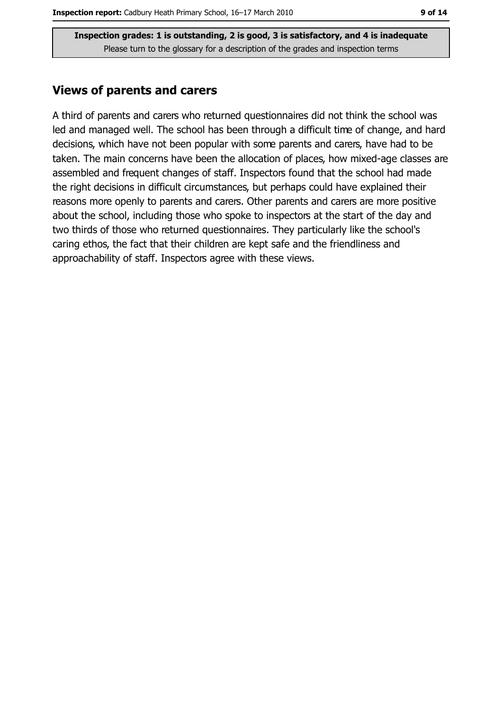### **Views of parents and carers**

A third of parents and carers who returned questionnaires did not think the school was led and managed well. The school has been through a difficult time of change, and hard decisions, which have not been popular with some parents and carers, have had to be taken. The main concerns have been the allocation of places, how mixed-age classes are assembled and frequent changes of staff. Inspectors found that the school had made the right decisions in difficult circumstances, but perhaps could have explained their reasons more openly to parents and carers. Other parents and carers are more positive about the school, including those who spoke to inspectors at the start of the day and two thirds of those who returned questionnaires. They particularly like the school's caring ethos, the fact that their children are kept safe and the friendliness and approachability of staff. Inspectors agree with these views.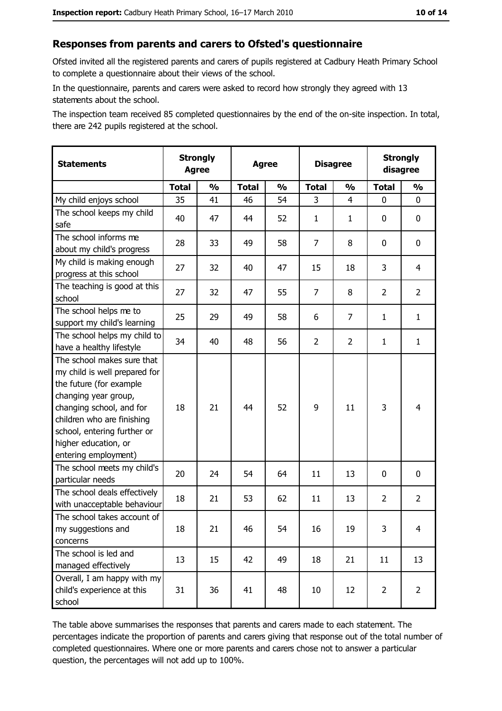## Responses from parents and carers to Ofsted's questionnaire

Ofsted invited all the registered parents and carers of pupils registered at Cadbury Heath Primary School to complete a questionnaire about their views of the school.

In the questionnaire, parents and carers were asked to record how strongly they agreed with 13 statements about the school.

The inspection team received 85 completed questionnaires by the end of the on-site inspection. In total, there are 242 pupils registered at the school.

| <b>Statements</b>                                                                                                                                                                                                                                       | <b>Strongly</b><br><b>Agree</b> |               | <b>Agree</b> |               |                | <b>Disagree</b> |                | <b>Strongly</b><br>disagree |  |
|---------------------------------------------------------------------------------------------------------------------------------------------------------------------------------------------------------------------------------------------------------|---------------------------------|---------------|--------------|---------------|----------------|-----------------|----------------|-----------------------------|--|
|                                                                                                                                                                                                                                                         | <b>Total</b>                    | $\frac{0}{0}$ | <b>Total</b> | $\frac{0}{0}$ | <b>Total</b>   | $\frac{0}{0}$   | <b>Total</b>   | $\frac{1}{2}$               |  |
| My child enjoys school                                                                                                                                                                                                                                  | 35                              | 41            | 46           | 54            | 3              | $\overline{4}$  | $\mathbf{0}$   | 0                           |  |
| The school keeps my child<br>safe                                                                                                                                                                                                                       | 40                              | 47            | 44           | 52            | $\mathbf{1}$   | $\mathbf{1}$    | 0              | $\mathbf 0$                 |  |
| The school informs me<br>about my child's progress                                                                                                                                                                                                      | 28                              | 33            | 49           | 58            | $\overline{7}$ | 8               | 0              | 0                           |  |
| My child is making enough<br>progress at this school                                                                                                                                                                                                    | 27                              | 32            | 40           | 47            | 15             | 18              | 3              | $\overline{4}$              |  |
| The teaching is good at this<br>school                                                                                                                                                                                                                  | 27                              | 32            | 47           | 55            | $\overline{7}$ | 8               | $\overline{2}$ | $\overline{2}$              |  |
| The school helps me to<br>support my child's learning                                                                                                                                                                                                   | 25                              | 29            | 49           | 58            | 6              | $\overline{7}$  | 1              | $\mathbf{1}$                |  |
| The school helps my child to<br>have a healthy lifestyle                                                                                                                                                                                                | 34                              | 40            | 48           | 56            | $\overline{2}$ | 2               | $\mathbf{1}$   | $\mathbf{1}$                |  |
| The school makes sure that<br>my child is well prepared for<br>the future (for example<br>changing year group,<br>changing school, and for<br>children who are finishing<br>school, entering further or<br>higher education, or<br>entering employment) | 18                              | 21            | 44           | 52            | 9              | 11              | 3              | $\overline{4}$              |  |
| The school meets my child's<br>particular needs                                                                                                                                                                                                         | 20                              | 24            | 54           | 64            | 11             | 13              | $\Omega$       | 0                           |  |
| The school deals effectively<br>with unacceptable behaviour                                                                                                                                                                                             | 18                              | 21            | 53           | 62            | 11             | 13              | 2              | $\overline{2}$              |  |
| The school takes account of<br>my suggestions and<br>concerns                                                                                                                                                                                           | 18                              | 21            | 46           | 54            | 16             | 19              | 3              | $\overline{4}$              |  |
| The school is led and<br>managed effectively                                                                                                                                                                                                            | 13                              | 15            | 42           | 49            | 18             | 21              | 11             | 13                          |  |
| Overall, I am happy with my<br>child's experience at this<br>school                                                                                                                                                                                     | 31                              | 36            | 41           | 48            | 10             | 12              | $\overline{2}$ | $\overline{2}$              |  |

The table above summarises the responses that parents and carers made to each statement. The percentages indicate the proportion of parents and carers giving that response out of the total number of completed questionnaires. Where one or more parents and carers chose not to answer a particular question, the percentages will not add up to 100%.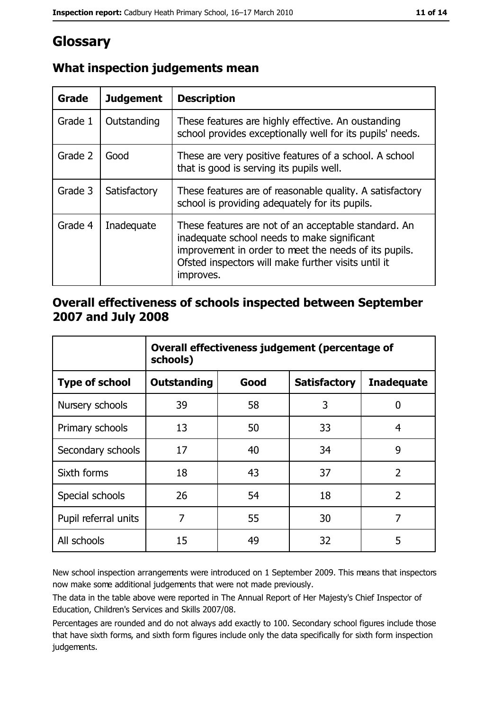# Glossary

| Grade   | <b>Judgement</b> | <b>Description</b>                                                                                                                                                                                                               |
|---------|------------------|----------------------------------------------------------------------------------------------------------------------------------------------------------------------------------------------------------------------------------|
| Grade 1 | Outstanding      | These features are highly effective. An oustanding<br>school provides exceptionally well for its pupils' needs.                                                                                                                  |
| Grade 2 | Good             | These are very positive features of a school. A school<br>that is good is serving its pupils well.                                                                                                                               |
| Grade 3 | Satisfactory     | These features are of reasonable quality. A satisfactory<br>school is providing adequately for its pupils.                                                                                                                       |
| Grade 4 | Inadequate       | These features are not of an acceptable standard. An<br>inadequate school needs to make significant<br>improvement in order to meet the needs of its pupils.<br>Ofsted inspectors will make further visits until it<br>improves. |

## What inspection judgements mean

## Overall effectiveness of schools inspected between September 2007 and July 2008

|                       | Overall effectiveness judgement (percentage of<br>schools) |      |                     |                   |
|-----------------------|------------------------------------------------------------|------|---------------------|-------------------|
| <b>Type of school</b> | <b>Outstanding</b>                                         | Good | <b>Satisfactory</b> | <b>Inadequate</b> |
| Nursery schools       | 39                                                         | 58   | 3                   | 0                 |
| Primary schools       | 13                                                         | 50   | 33                  | 4                 |
| Secondary schools     | 17                                                         | 40   | 34                  | 9                 |
| Sixth forms           | 18                                                         | 43   | 37                  | $\overline{2}$    |
| Special schools       | 26                                                         | 54   | 18                  | $\overline{2}$    |
| Pupil referral units  | 7                                                          | 55   | 30                  | 7                 |
| All schools           | 15                                                         | 49   | 32                  | 5                 |

New school inspection arrangements were introduced on 1 September 2009. This means that inspectors now make some additional judgements that were not made previously.

The data in the table above were reported in The Annual Report of Her Majesty's Chief Inspector of Education, Children's Services and Skills 2007/08.

Percentages are rounded and do not always add exactly to 100. Secondary school figures include those that have sixth forms, and sixth form figures include only the data specifically for sixth form inspection judgements.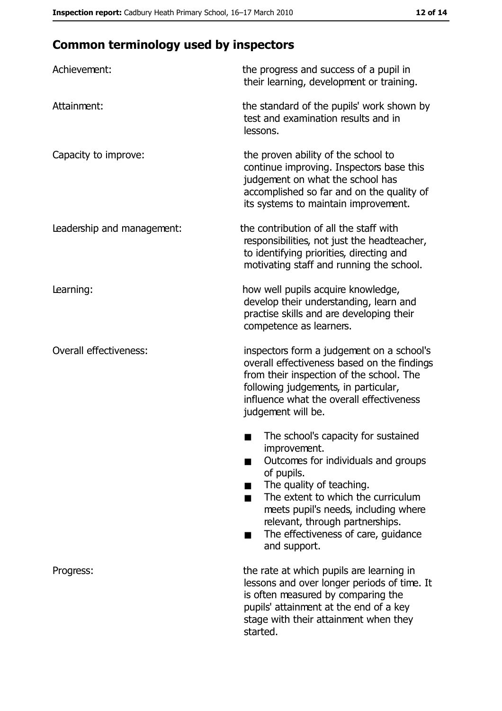# **Common terminology used by inspectors**

| Achievement:                  | the progress and success of a pupil in<br>their learning, development or training.                                                                                                                                                                                                                           |
|-------------------------------|--------------------------------------------------------------------------------------------------------------------------------------------------------------------------------------------------------------------------------------------------------------------------------------------------------------|
| Attainment:                   | the standard of the pupils' work shown by<br>test and examination results and in<br>lessons.                                                                                                                                                                                                                 |
| Capacity to improve:          | the proven ability of the school to<br>continue improving. Inspectors base this<br>judgement on what the school has<br>accomplished so far and on the quality of<br>its systems to maintain improvement.                                                                                                     |
| Leadership and management:    | the contribution of all the staff with<br>responsibilities, not just the headteacher,<br>to identifying priorities, directing and<br>motivating staff and running the school.                                                                                                                                |
| Learning:                     | how well pupils acquire knowledge,<br>develop their understanding, learn and<br>practise skills and are developing their<br>competence as learners.                                                                                                                                                          |
| <b>Overall effectiveness:</b> | inspectors form a judgement on a school's<br>overall effectiveness based on the findings<br>from their inspection of the school. The<br>following judgements, in particular,<br>influence what the overall effectiveness<br>judgement will be.                                                               |
|                               | The school's capacity for sustained<br>improvement.<br>Outcomes for individuals and groups<br>of pupils.<br>The quality of teaching.<br>The extent to which the curriculum<br>meets pupil's needs, including where<br>relevant, through partnerships.<br>The effectiveness of care, guidance<br>and support. |
| Progress:                     | the rate at which pupils are learning in<br>lessons and over longer periods of time. It<br>is often measured by comparing the<br>pupils' attainment at the end of a key<br>stage with their attainment when they<br>started.                                                                                 |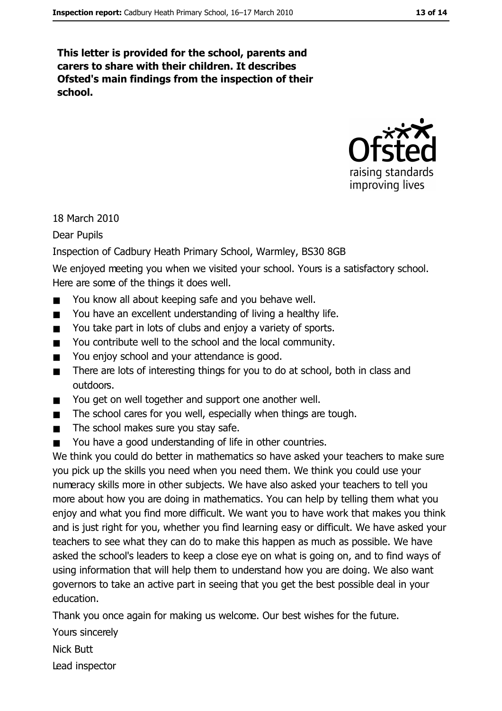This letter is provided for the school, parents and carers to share with their children. It describes Ofsted's main findings from the inspection of their school.



18 March 2010

**Dear Pupils** 

Inspection of Cadbury Heath Primary School, Warmley, BS30 8GB

We enjoyed meeting you when we visited your school. Yours is a satisfactory school. Here are some of the things it does well.

- You know all about keeping safe and you behave well.  $\blacksquare$
- You have an excellent understanding of living a healthy life.  $\blacksquare$
- You take part in lots of clubs and enjoy a variety of sports.  $\blacksquare$
- You contribute well to the school and the local community.
- You enjoy school and your attendance is good.  $\blacksquare$
- There are lots of interesting things for you to do at school, both in class and  $\blacksquare$ outdoors.
- You get on well together and support one another well.  $\blacksquare$
- The school cares for you well, especially when things are tough.  $\blacksquare$
- The school makes sure you stay safe.  $\blacksquare$
- You have a good understanding of life in other countries.  $\blacksquare$

We think you could do better in mathematics so have asked your teachers to make sure you pick up the skills you need when you need them. We think you could use your numeracy skills more in other subjects. We have also asked your teachers to tell you more about how you are doing in mathematics. You can help by telling them what you enjoy and what you find more difficult. We want you to have work that makes you think and is just right for you, whether you find learning easy or difficult. We have asked your teachers to see what they can do to make this happen as much as possible. We have asked the school's leaders to keep a close eye on what is going on, and to find ways of using information that will help them to understand how you are doing. We also want governors to take an active part in seeing that you get the best possible deal in your education.

Thank you once again for making us welcome. Our best wishes for the future.

Yours sincerely

**Nick Butt** 

Lead inspector